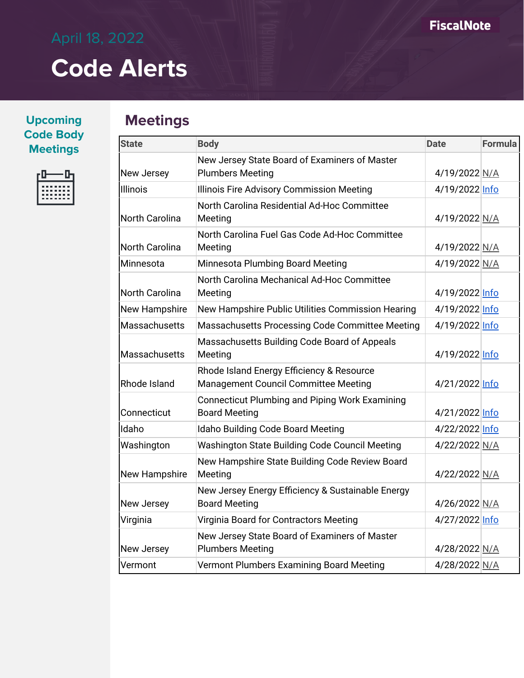| <b>Upcoming</b>  |
|------------------|
| <b>Code Body</b> |
| <b>Meetings</b>  |



### **Meetings**

| <b>State</b>          | <b>Body</b>                                                                       | <b>Date</b>    | <b>Formula</b> |
|-----------------------|-----------------------------------------------------------------------------------|----------------|----------------|
| New Jersey            | New Jersey State Board of Examiners of Master<br><b>Plumbers Meeting</b>          | 4/19/2022 N/A  |                |
| <b>Illinois</b>       | Illinois Fire Advisory Commission Meeting                                         | 4/19/2022 Info |                |
| <b>North Carolina</b> | North Carolina Residential Ad-Hoc Committee<br>Meeting                            | 4/19/2022 N/A  |                |
| <b>North Carolina</b> | North Carolina Fuel Gas Code Ad-Hoc Committee<br>Meeting                          | 4/19/2022 N/A  |                |
| Minnesota             | <b>Minnesota Plumbing Board Meeting</b>                                           | 4/19/2022 N/A  |                |
| <b>North Carolina</b> | North Carolina Mechanical Ad-Hoc Committee<br>Meeting                             | 4/19/2022 Info |                |
| <b>New Hampshire</b>  | New Hampshire Public Utilities Commission Hearing                                 | 4/19/2022 Info |                |
| Massachusetts         | Massachusetts Processing Code Committee Meeting                                   | 4/19/2022 Info |                |
| Massachusetts         | Massachusetts Building Code Board of Appeals<br>Meeting                           | 4/19/2022 Info |                |
| Rhode Island          | Rhode Island Energy Efficiency & Resource<br>Management Council Committee Meeting | 4/21/2022 Info |                |
| Connecticut           | <b>Connecticut Plumbing and Piping Work Examining</b><br><b>Board Meeting</b>     | 4/21/2022 Info |                |
| Idaho                 | Idaho Building Code Board Meeting                                                 | 4/22/2022 Info |                |
| Washington            | Washington State Building Code Council Meeting                                    | 4/22/2022 N/A  |                |
| New Hampshire         | New Hampshire State Building Code Review Board<br>Meeting                         | 4/22/2022 N/A  |                |
| New Jersey            | New Jersey Energy Efficiency & Sustainable Energy<br><b>Board Meeting</b>         | 4/26/2022 N/A  |                |
| Virginia              | Virginia Board for Contractors Meeting                                            | 4/27/2022 Info |                |
| New Jersey            | New Jersey State Board of Examiners of Master<br><b>Plumbers Meeting</b>          | 4/28/2022 N/A  |                |
| Vermont               | Vermont Plumbers Examining Board Meeting                                          | 4/28/2022 N/A  |                |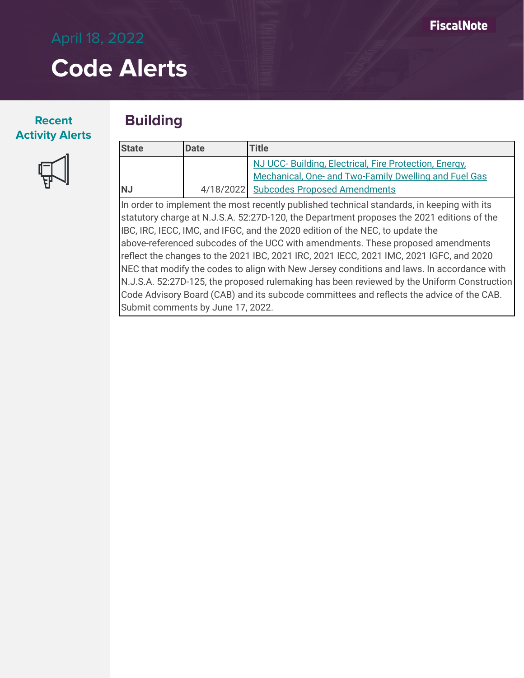#### **Recent Activity Alerts**



#### **Building**

| <b>State</b> | Date | <b>Title</b>                                          |
|--------------|------|-------------------------------------------------------|
|              |      | NJ UCC-Building, Electrical, Fire Protection, Energy, |
|              |      | Mechanical, One- and Two-Family Dwelling and Fuel Gas |
| <b>NJ</b>    |      | 4/18/2022 Subcodes Proposed Amendments                |

In order to implement the most recently published technical standards, in keeping with its statutory charge at N.J.S.A. 52:27D-120, the Department proposes the 2021 editions of the IBC, IRC, IECC, IMC, and IFGC, and the 2020 edition of the NEC, to update the above-referenced subcodes of the UCC with amendments. These proposed amendments reflect the changes to the 2021 IBC, 2021 IRC, 2021 IECC, 2021 IMC, 2021 IGFC, and 2020 NEC that modify the codes to align with New Jersey conditions and laws. In accordance with N.J.S.A. 52:27D-125, the proposed rulemaking has been reviewed by the Uniform Construction Code Advisory Board (CAB) and its subcode committees and reflects the advice of the CAB. Submit comments by June 17, 2022.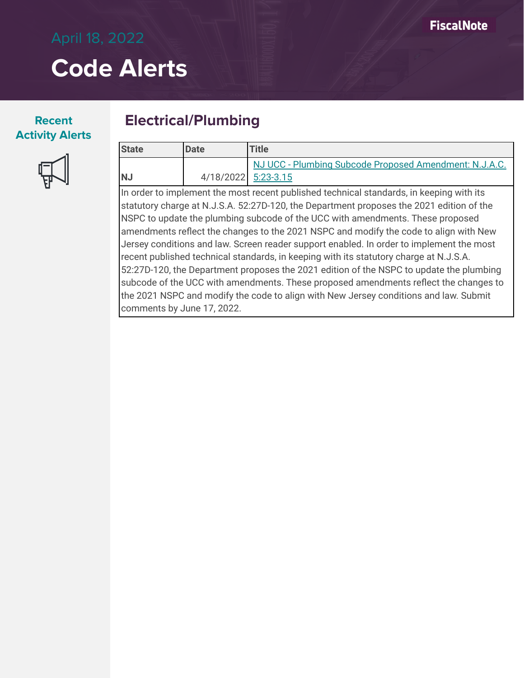#### **Recent Activity Alerts**



#### **Electrical/Plumbing**

| <b>State</b>                                                                             | <b>IDate</b>        | <b>Title</b>                                           |
|------------------------------------------------------------------------------------------|---------------------|--------------------------------------------------------|
|                                                                                          |                     | NJ UCC - Plumbing Subcode Proposed Amendment: N.J.A.C. |
| <b>INJ</b>                                                                               | 4/18/2022 5:23-3.15 |                                                        |
| In order to implement the most recent published technical standards, in keeping with its |                     |                                                        |

In order to implement the most recent published technical standards, in keeping with its statutory charge at N.J.S.A. 52:27D-120, the Department proposes the 2021 edition of the NSPC to update the plumbing subcode of the UCC with amendments. These proposed amendments reflect the changes to the 2021 NSPC and modify the code to align with New Jersey conditions and law. Screen reader support enabled. In order to implement the most recent published technical standards, in keeping with its statutory charge at N.J.S.A. 52:27D-120, the Department proposes the 2021 edition of the NSPC to update the plumbing subcode of the UCC with amendments. These proposed amendments reflect the changes to the 2021 NSPC and modify the code to align with New Jersey conditions and law. Submit comments by June 17, 2022.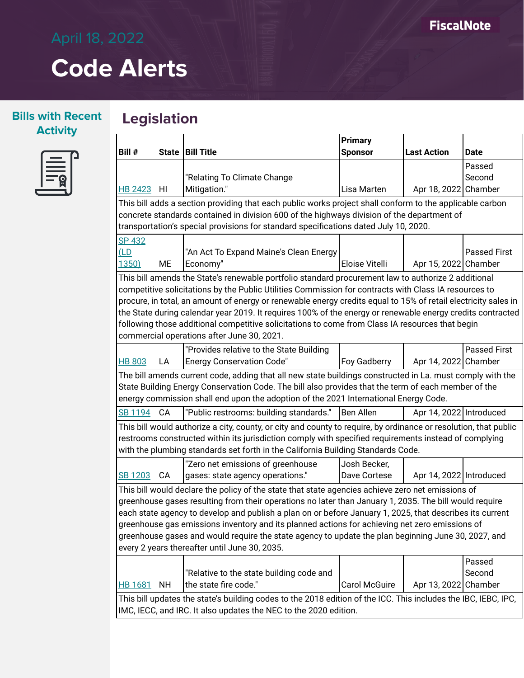#### **Bills with Recent Activity**

### **Legislation**

| Ξ |  |
|---|--|
|   |  |

|                                                                                                                |           | <b>Primary</b>                                                                                                   |                     |                         |                     |
|----------------------------------------------------------------------------------------------------------------|-----------|------------------------------------------------------------------------------------------------------------------|---------------------|-------------------------|---------------------|
| Bill #                                                                                                         |           | State   Bill Title                                                                                               | <b>Sponsor</b>      | <b>Last Action</b>      | <b>Date</b>         |
|                                                                                                                |           |                                                                                                                  |                     |                         | Passed              |
|                                                                                                                |           | "Relating To Climate Change                                                                                      |                     |                         | Second              |
| <b>HB 2423</b>                                                                                                 | HI        | Mitigation."<br>Lisa Marten<br>Apr 18, 2022 Chamber                                                              |                     |                         |                     |
|                                                                                                                |           | This bill adds a section providing that each public works project shall conform to the applicable carbon         |                     |                         |                     |
|                                                                                                                |           | concrete standards contained in division 600 of the highways division of the department of                       |                     |                         |                     |
|                                                                                                                |           | transportation's special provisions for standard specifications dated July 10, 2020.                             |                     |                         |                     |
| SP 432                                                                                                         |           |                                                                                                                  |                     |                         |                     |
| (LD)                                                                                                           |           | "An Act To Expand Maine's Clean Energy                                                                           |                     |                         | <b>Passed First</b> |
| 1350)                                                                                                          | <b>ME</b> | Economy"                                                                                                         | Eloise Vitelli      | Apr 15, 2022 Chamber    |                     |
|                                                                                                                |           | This bill amends the State's renewable portfolio standard procurement law to authorize 2 additional              |                     |                         |                     |
|                                                                                                                |           | competitive solicitations by the Public Utilities Commission for contracts with Class IA resources to            |                     |                         |                     |
|                                                                                                                |           | procure, in total, an amount of energy or renewable energy credits equal to 15% of retail electricity sales in   |                     |                         |                     |
|                                                                                                                |           | the State during calendar year 2019. It requires 100% of the energy or renewable energy credits contracted       |                     |                         |                     |
|                                                                                                                |           | following those additional competitive solicitations to come from Class IA resources that begin                  |                     |                         |                     |
|                                                                                                                |           | commercial operations after June 30, 2021.                                                                       |                     |                         |                     |
|                                                                                                                |           | "Provides relative to the State Building                                                                         |                     |                         | <b>Passed First</b> |
| <b>HB 803</b>                                                                                                  | LA        | <b>Energy Conservation Code"</b>                                                                                 | <b>Foy Gadberry</b> | Apr 14, 2022 Chamber    |                     |
|                                                                                                                |           | The bill amends current code, adding that all new state buildings constructed in La. must comply with the        |                     |                         |                     |
|                                                                                                                |           | State Building Energy Conservation Code. The bill also provides that the term of each member of the              |                     |                         |                     |
|                                                                                                                |           | energy commission shall end upon the adoption of the 2021 International Energy Code.                             |                     |                         |                     |
| <b>SB 1194</b>                                                                                                 | CA        | "Public restrooms: building standards."                                                                          | Ben Allen           | Apr 14, 2022 Introduced |                     |
|                                                                                                                |           | This bill would authorize a city, county, or city and county to require, by ordinance or resolution, that public |                     |                         |                     |
|                                                                                                                |           | restrooms constructed within its jurisdiction comply with specified requirements instead of complying            |                     |                         |                     |
|                                                                                                                |           | with the plumbing standards set forth in the California Building Standards Code.                                 |                     |                         |                     |
|                                                                                                                |           | "Zero net emissions of greenhouse                                                                                | Josh Becker,        |                         |                     |
| SB 1203                                                                                                        | CA        | gases: state agency operations."                                                                                 | Dave Cortese        | Apr 14, 2022 Introduced |                     |
|                                                                                                                |           | This bill would declare the policy of the state that state agencies achieve zero net emissions of                |                     |                         |                     |
|                                                                                                                |           | greenhouse gases resulting from their operations no later than January 1, 2035. The bill would require           |                     |                         |                     |
| each state agency to develop and publish a plan on or before January 1, 2025, that describes its current       |           |                                                                                                                  |                     |                         |                     |
| greenhouse gas emissions inventory and its planned actions for achieving net zero emissions of                 |           |                                                                                                                  |                     |                         |                     |
| greenhouse gases and would require the state agency to update the plan beginning June 30, 2027, and            |           |                                                                                                                  |                     |                         |                     |
| every 2 years thereafter until June 30, 2035.                                                                  |           |                                                                                                                  |                     |                         |                     |
|                                                                                                                |           |                                                                                                                  |                     |                         | Passed              |
|                                                                                                                |           | "Relative to the state building code and                                                                         |                     |                         | Second              |
| HB 1681                                                                                                        | <b>NH</b> | the state fire code."                                                                                            | Carol McGuire       | Apr 13, 2022 Chamber    |                     |
| This bill updates the state's building codes to the 2018 edition of the ICC. This includes the IBC, IEBC, IPC, |           |                                                                                                                  |                     |                         |                     |
|                                                                                                                |           | IMC, IECC, and IRC. It also updates the NEC to the 2020 edition.                                                 |                     |                         |                     |
|                                                                                                                |           |                                                                                                                  |                     |                         |                     |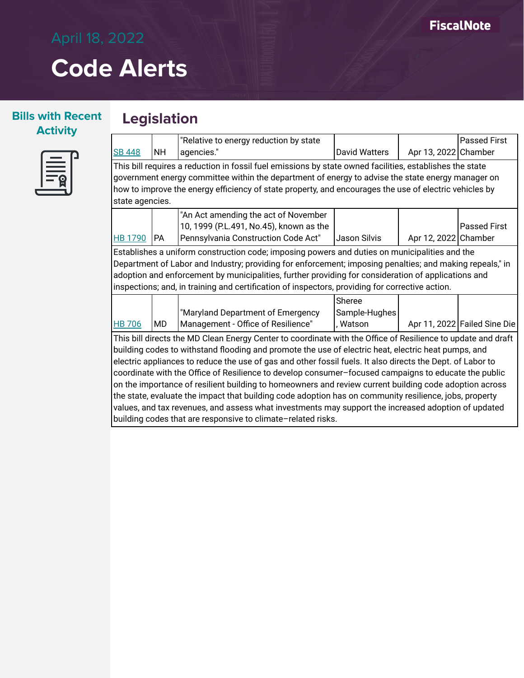#### **Bills with Recent Activity**



#### **Legislation**

|                                                                                                                     |                                                                                                          | "Relative to energy reduction by state                                                                 |                      |                      | <b>Passed First</b>          |  |  |
|---------------------------------------------------------------------------------------------------------------------|----------------------------------------------------------------------------------------------------------|--------------------------------------------------------------------------------------------------------|----------------------|----------------------|------------------------------|--|--|
| <b>SB 448</b>                                                                                                       | NH                                                                                                       | agencies."                                                                                             | <b>David Watters</b> | Apr 13, 2022 Chamber |                              |  |  |
|                                                                                                                     | This bill requires a reduction in fossil fuel emissions by state owned facilities, establishes the state |                                                                                                        |                      |                      |                              |  |  |
|                                                                                                                     |                                                                                                          | government energy committee within the department of energy to advise the state energy manager on      |                      |                      |                              |  |  |
|                                                                                                                     |                                                                                                          | how to improve the energy efficiency of state property, and encourages the use of electric vehicles by |                      |                      |                              |  |  |
| state agencies.                                                                                                     |                                                                                                          |                                                                                                        |                      |                      |                              |  |  |
|                                                                                                                     |                                                                                                          | "An Act amending the act of November                                                                   |                      |                      |                              |  |  |
|                                                                                                                     |                                                                                                          | 10, 1999 (P.L.491, No.45), known as the                                                                |                      |                      | <b>Passed First</b>          |  |  |
| HB 1790                                                                                                             | <b>PA</b>                                                                                                | Pennsylvania Construction Code Act"                                                                    | Jason Silvis         | Apr 12, 2022 Chamber |                              |  |  |
|                                                                                                                     |                                                                                                          | Establishes a uniform construction code; imposing powers and duties on municipalities and the          |                      |                      |                              |  |  |
| Department of Labor and Industry; providing for enforcement; imposing penalties; and making repeals," in            |                                                                                                          |                                                                                                        |                      |                      |                              |  |  |
| adoption and enforcement by municipalities, further providing for consideration of applications and                 |                                                                                                          |                                                                                                        |                      |                      |                              |  |  |
| inspections; and, in training and certification of inspectors, providing for corrective action.                     |                                                                                                          |                                                                                                        |                      |                      |                              |  |  |
|                                                                                                                     |                                                                                                          |                                                                                                        | Sheree               |                      |                              |  |  |
|                                                                                                                     |                                                                                                          | "Maryland Department of Emergency                                                                      | Sample-Hughes        |                      |                              |  |  |
| <b>HB 706</b>                                                                                                       | MD.                                                                                                      | Management - Office of Resilience"                                                                     | , Watson             |                      | Apr 11, 2022 Failed Sine Die |  |  |
| $\Box$ This bill directs the MD Clean Energy Center to coerdinate with the Office of Deciliance to undete and droft |                                                                                                          |                                                                                                        |                      |                      |                              |  |  |

This bill directs the MD Clean Energy Center to coordinate with the Office of Resilience to update and draft building codes to withstand flooding and promote the use of electric heat, electric heat pumps, and electric appliances to reduce the use of gas and other fossil fuels. It also directs the Dept. of Labor to coordinate with the Office of Resilience to develop consumer–focused campaigns to educate the public on the importance of resilient building to homeowners and review current building code adoption across the state, evaluate the impact that building code adoption has on community resilience, jobs, property values, and tax revenues, and assess what investments may support the increased adoption of updated building codes that are responsive to climate–related risks.